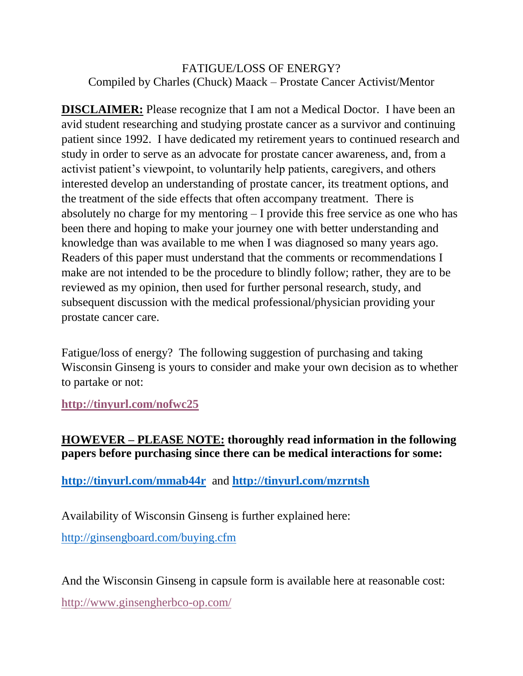## FATIGUE/LOSS OF ENERGY? Compiled by Charles (Chuck) Maack – Prostate Cancer Activist/Mentor

**DISCLAIMER:** Please recognize that I am not a Medical Doctor. I have been an avid student researching and studying prostate cancer as a survivor and continuing patient since 1992. I have dedicated my retirement years to continued research and study in order to serve as an advocate for prostate cancer awareness, and, from a activist patient's viewpoint, to voluntarily help patients, caregivers, and others interested develop an understanding of prostate cancer, its treatment options, and the treatment of the side effects that often accompany treatment. There is absolutely no charge for my mentoring – I provide this free service as one who has been there and hoping to make your journey one with better understanding and knowledge than was available to me when I was diagnosed so many years ago. Readers of this paper must understand that the comments or recommendations I make are not intended to be the procedure to blindly follow; rather, they are to be reviewed as my opinion, then used for further personal research, study, and subsequent discussion with the medical professional/physician providing your prostate cancer care.

Fatigue/loss of energy? The following suggestion of purchasing and taking Wisconsin Ginseng is yours to consider and make your own decision as to whether to partake or not:

**<http://tinyurl.com/nofwc25>**

## **HOWEVER – PLEASE NOTE: thoroughly read information in the following papers before purchasing since there can be medical interactions for some:**

**<http://tinyurl.com/mmab44r>** and **<http://tinyurl.com/mzrntsh>**

Availability of Wisconsin Ginseng is further explained here:

<http://ginsengboard.com/buying.cfm>

And the Wisconsin Ginseng in capsule form is available here at reasonable cost:

<http://www.ginsengherbco-op.com/>